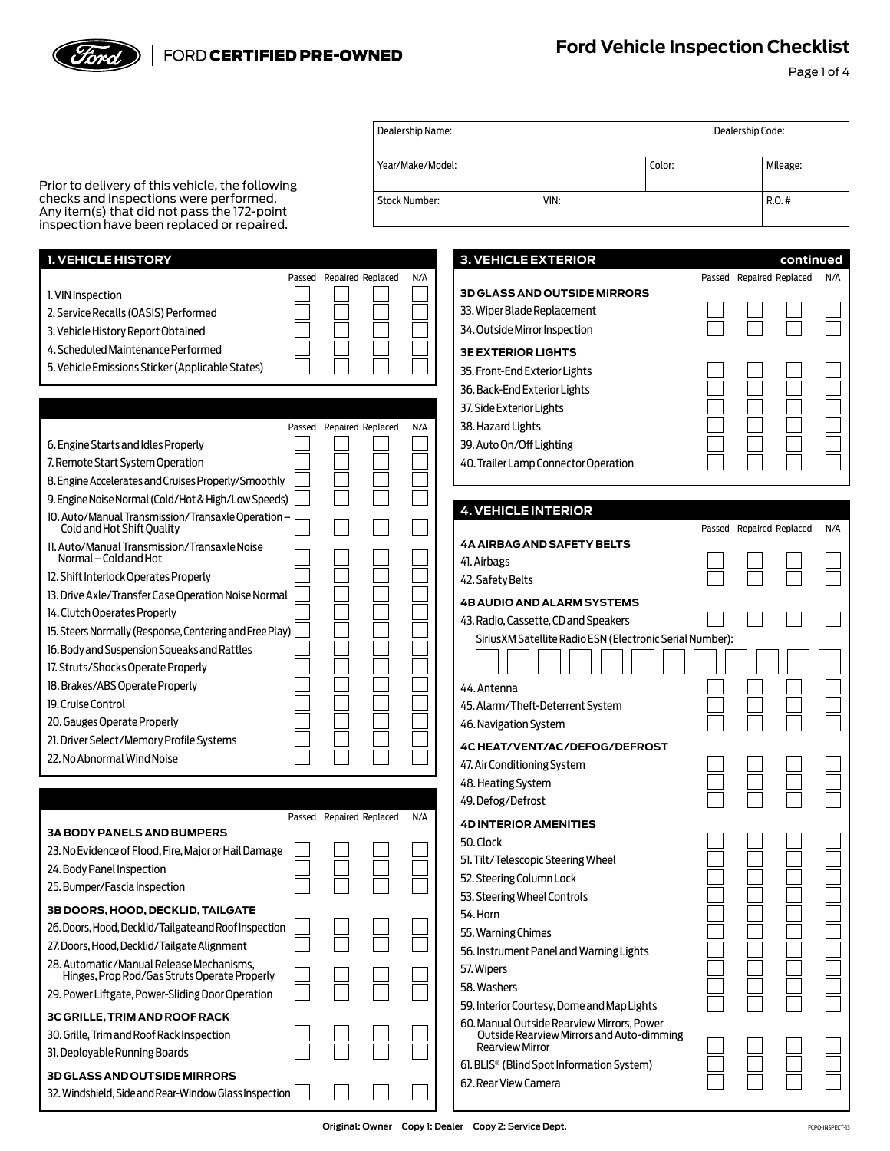## FORD CERTIFIED PRE-OWNED

*Sord* 

Page 1 of 4

|                                                                                            |                          | Dealership Name:     |                                                                     |        | Dealership Code: |                          |           |
|--------------------------------------------------------------------------------------------|--------------------------|----------------------|---------------------------------------------------------------------|--------|------------------|--------------------------|-----------|
|                                                                                            |                          | Year/Make/Model:     |                                                                     | Color: |                  | Mileage:                 |           |
| Prior to delivery of this vehicle, the following<br>checks and inspections were performed. |                          |                      |                                                                     |        |                  |                          |           |
| Any item(s) that did not pass the 172-point                                                |                          | <b>Stock Number:</b> | VIN:                                                                |        |                  | $R.O.$ #                 |           |
| inspection have been replaced or repaired.                                                 |                          |                      |                                                                     |        |                  |                          |           |
| 1. VEHICLE HISTORY                                                                         |                          |                      | <b>3. VEHICLE EXTERIOR</b>                                          |        |                  |                          | continued |
|                                                                                            | Passed Repaired Replaced | N/A                  |                                                                     |        |                  | Passed Repaired Replaced | N/A       |
| 1. VIN Inspection                                                                          |                          |                      | <b>3D GLASS AND OUTSIDE MIRRORS</b>                                 |        |                  |                          |           |
| 2. Service Recalls (OASIS) Performed                                                       |                          |                      | 33. Wiper Blade Replacement                                         |        |                  |                          |           |
| 3. Vehicle History Report Obtained                                                         |                          |                      | 34. Outside Mirror Inspection                                       |        |                  |                          |           |
| 4. Scheduled Maintenance Performed                                                         |                          |                      | <b>3E EXTERIOR LIGHTS</b>                                           |        |                  |                          |           |
| 5. Vehicle Emissions Sticker (Applicable States)                                           |                          |                      | 35. Front-End Exterior Lights                                       |        |                  |                          |           |
|                                                                                            |                          |                      | 36. Back-End Exterior Lights                                        |        |                  |                          |           |
|                                                                                            |                          |                      | 37. Side Exterior Lights                                            |        |                  |                          |           |
|                                                                                            | Passed Repaired Replaced | N/A                  | 38. Hazard Lights                                                   |        |                  |                          |           |
| 6. Engine Starts and Idles Properly                                                        |                          |                      | 39. Auto On/Off Lighting                                            |        |                  |                          |           |
| 7. Remote Start System Operation                                                           |                          |                      | 40. Trailer Lamp Connector Operation                                |        |                  |                          |           |
| 8. Engine Accelerates and Cruises Properly/Smoothly                                        |                          |                      |                                                                     |        |                  |                          |           |
| 9. Engine Noise Normal (Cold/Hot & High/Low Speeds)                                        |                          |                      |                                                                     |        |                  |                          |           |
| 10. Auto/Manual Transmission/Transaxle Operation -<br>Cold and Hot Shift Quality           |                          |                      | <b>4. VEHICLE INTERIOR</b>                                          |        |                  | Passed Repaired Replaced | N/A       |
| 11. Auto/Manual Transmission/Transaxle Noise                                               |                          |                      | <b>4A AIRBAG AND SAFETY BELTS</b>                                   |        |                  |                          |           |
| Normal – Cold and Hot                                                                      |                          |                      | 41. Airbags                                                         |        |                  |                          |           |
| 12. Shift Interlock Operates Properly                                                      |                          |                      | 42. Safety Belts                                                    |        |                  |                          |           |
| 13. Drive Axle/Transfer Case Operation Noise Normal                                        |                          |                      | <b>4B AUDIO AND ALARM SYSTEMS</b>                                   |        |                  |                          |           |
| 14. Clutch Operates Properly                                                               |                          |                      | 43. Radio, Cassette, CD and Speakers                                |        |                  |                          |           |
| 15. Steers Normally (Response, Centering and Free Play)                                    |                          |                      | SiriusXM Satellite Radio ESN (Electronic Serial Number):            |        |                  |                          |           |
| 16. Body and Suspension Squeaks and Rattles                                                |                          |                      |                                                                     |        |                  |                          |           |
| 17. Struts/Shocks Operate Properly                                                         |                          |                      |                                                                     |        |                  |                          |           |
| 18. Brakes/ABS Operate Properly                                                            |                          |                      | 44. Antenna                                                         |        |                  |                          |           |
| 19. Cruise Control                                                                         |                          |                      | 45. Alarm/Theft-Deterrent System                                    |        |                  |                          |           |
| 20. Gauges Operate Properly                                                                |                          |                      | 46. Navigation System                                               |        |                  |                          |           |
| 21. Driver Select/Memory Profile Systems                                                   |                          |                      | <b>4C HEAT/VENT/AC/DEFOG/DEFROST</b>                                |        |                  |                          |           |
| 22. No Abnormal Wind Noise                                                                 |                          |                      | 47. Air Conditioning System                                         |        |                  |                          |           |
|                                                                                            |                          |                      | 48. Heating System                                                  |        |                  |                          |           |
|                                                                                            |                          |                      | 49. Defog/Defrost                                                   |        |                  |                          |           |
|                                                                                            | Passed Repaired Replaced | N/A                  | <b>4D INTERIOR AMENITIES</b>                                        |        |                  |                          |           |
| <b>3A BODY PANELS AND BUMPERS</b>                                                          |                          |                      | 50. Clock                                                           |        |                  |                          |           |
| 23. No Evidence of Flood, Fire, Major or Hail Damage                                       |                          |                      | 51. Tilt/Telescopic Steering Wheel                                  |        |                  |                          |           |
| 24. Body Panel Inspection                                                                  |                          |                      | 52. Steering Column Lock                                            |        |                  |                          |           |
| 25. Bumper/Fascia Inspection                                                               |                          |                      | 53. Steering Wheel Controls                                         |        |                  |                          |           |
| <b>3B DOORS, HOOD, DECKLID, TAILGATE</b>                                                   |                          |                      | 54. Horn                                                            |        |                  |                          |           |
| 26. Doors, Hood, Decklid/Tailgate and Roof Inspection                                      |                          |                      | 55. Warning Chimes                                                  |        |                  |                          |           |
| 27. Doors, Hood, Decklid/Tailgate Alignment                                                |                          |                      | 56. Instrument Panel and Warning Lights                             |        |                  |                          |           |
| 28. Automatic/Manual Release Mechanisms,<br>Hinges, Prop Rod/Gas Struts Operate Properly   |                          |                      | 57. Wipers                                                          |        |                  |                          |           |
| 29. Power Liftgate, Power-Sliding Door Operation                                           |                          |                      | 58. Washers                                                         |        |                  |                          |           |
|                                                                                            |                          |                      | 59. Interior Courtesy, Dome and Map Lights                          |        |                  |                          |           |
| 3C GRILLE, TRIM AND ROOF RACK                                                              |                          |                      | 60. Manual Outside Rearview Mirrors, Power                          |        |                  |                          |           |
| 30. Grille, Trim and Roof Rack Inspection                                                  |                          |                      | Outside Rearview Mirrors and Auto-dimming<br><b>Rearview Mirror</b> |        |                  |                          |           |
| 31. Deployable Running Boards                                                              |                          |                      | 61. BLIS <sup>®</sup> (Blind Spot Information System)               |        |                  |                          |           |
| <b>3D GLASS AND OUTSIDE MIRRORS</b>                                                        |                          |                      | 62. Rear View Camera                                                |        |                  |                          |           |
| 32. Windshield, Side and Rear-Window Glass Inspection                                      |                          |                      |                                                                     |        |                  |                          |           |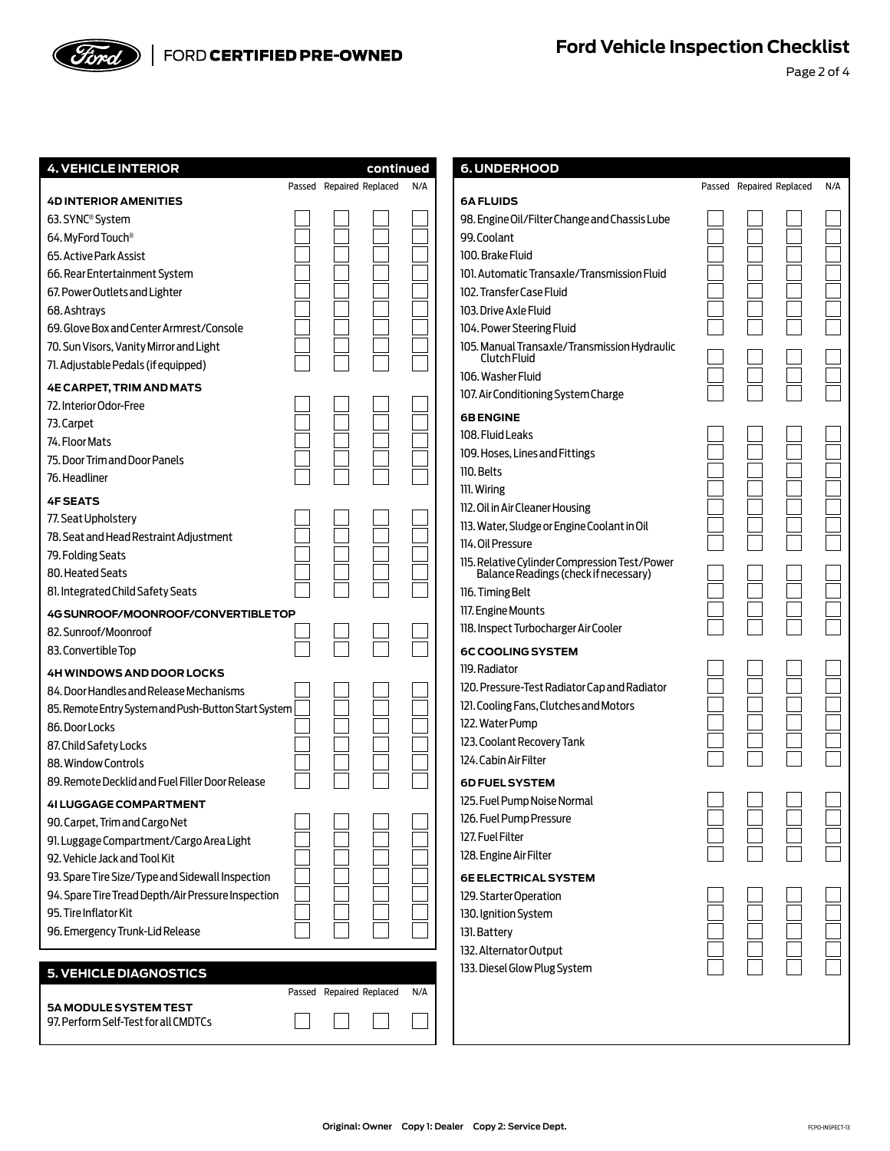

Page 2 of 4

| <b>4. VEHICLE INTERIOR</b>                           | continued                |     | <b>6. UNDERHOOD</b>                                                                    |                          |     |
|------------------------------------------------------|--------------------------|-----|----------------------------------------------------------------------------------------|--------------------------|-----|
|                                                      | Passed Repaired Replaced | N/A |                                                                                        | Passed Repaired Replaced | N/A |
| <b>4D INTERIOR AMENITIES</b>                         |                          |     | <b>6A FLUIDS</b>                                                                       |                          |     |
| 63. SYNC <sup>®</sup> System                         |                          |     | 98. Engine Oil/Filter Change and Chassis Lube                                          |                          |     |
| 64. MyFord Touch <sup>®</sup>                        |                          |     | 99. Coolant                                                                            |                          |     |
| 65. Active Park Assist                               |                          |     | 100. Brake Fluid                                                                       |                          |     |
| 66. Rear Entertainment System                        |                          |     | 101. Automatic Transaxle/Transmission Fluid                                            |                          |     |
| 67. Power Outlets and Lighter                        |                          |     | 102. Transfer Case Fluid                                                               |                          |     |
| 68. Ashtrays                                         |                          |     | 103. Drive Axle Fluid                                                                  |                          |     |
| 69. Glove Box and Center Armrest/Console             |                          |     | 104. Power Steering Fluid                                                              |                          |     |
| 70. Sun Visors, Vanity Mirror and Light              |                          |     | 105. Manual Transaxle/Transmission Hydraulic                                           |                          |     |
| 71. Adjustable Pedals (if equipped)                  |                          |     | Clutch Fluid<br>106. Washer Fluid                                                      |                          |     |
| <b>4E CARPET, TRIM AND MATS</b>                      |                          |     | 107. Air Conditioning System Charge                                                    |                          |     |
| 72. Interior Odor-Free                               |                          |     |                                                                                        |                          |     |
| 73. Carpet                                           |                          |     | <b>6B ENGINE</b>                                                                       |                          |     |
| 74. Floor Mats                                       |                          |     | 108. Fluid Leaks                                                                       |                          |     |
| 75. Door Trim and Door Panels                        |                          |     | 109. Hoses, Lines and Fittings                                                         |                          |     |
| 76. Headliner                                        |                          |     | 110. Belts                                                                             |                          |     |
| <b>4F SEATS</b>                                      |                          |     | 111. Wiring                                                                            |                          |     |
| 77. Seat Upholstery                                  |                          |     | 112. Oil in Air Cleaner Housing                                                        |                          |     |
| 78. Seat and Head Restraint Adjustment               |                          |     | 113. Water, Sludge or Engine Coolant in Oil                                            |                          |     |
| 79. Folding Seats                                    |                          |     | 114. Oil Pressure                                                                      |                          |     |
| 80. Heated Seats                                     |                          |     | 115. Relative Cylinder Compression Test/Power<br>Balance Readings (check if necessary) |                          |     |
| 81. Integrated Child Safety Seats                    |                          |     | 116. Timing Belt                                                                       |                          |     |
|                                                      |                          |     | 117. Engine Mounts                                                                     |                          |     |
| 4G SUNROOF/MOONROOF/CONVERTIBLE TOP                  |                          |     | 118. Inspect Turbocharger Air Cooler                                                   |                          |     |
| 82. Sunroof/Moonroof                                 |                          |     |                                                                                        |                          |     |
| 83. Convertible Top                                  |                          |     | <b>6C COOLING SYSTEM</b>                                                               |                          |     |
| 4H WINDOWS AND DOOR LOCKS                            |                          |     | 119. Radiator                                                                          |                          |     |
| 84. Door Handles and Release Mechanisms              |                          |     | 120. Pressure-Test Radiator Cap and Radiator                                           |                          |     |
| 85. Remote Entry System and Push-Button Start System |                          |     | 121. Cooling Fans, Clutches and Motors                                                 |                          |     |
| 86. Door Locks                                       |                          |     | 122. Water Pump                                                                        |                          |     |
| 87. Child Safety Locks                               |                          |     | 123. Coolant Recovery Tank                                                             |                          |     |
| 88. Window Controls                                  |                          |     | 124. Cabin Air Filter                                                                  |                          |     |
| 89. Remote Decklid and Fuel Filler Door Release      |                          |     | <b>6D FUEL SYSTEM</b>                                                                  |                          |     |
| <b>41 LUGGAGE COMPARTMENT</b>                        |                          |     | 125. Fuel Pump Noise Normal                                                            |                          |     |
| 90. Carpet, Trim and Cargo Net                       |                          |     | 126. Fuel Pump Pressure                                                                |                          |     |
| 91. Luggage Compartment/Cargo Area Light             |                          |     | 127. Fuel Filter                                                                       |                          |     |
| 92. Vehicle Jack and Tool Kit                        |                          |     | 128. Engine Air Filter                                                                 |                          |     |
| 93. Spare Tire Size/Type and Sidewall Inspection     |                          |     | <b>6E ELECTRICAL SYSTEM</b>                                                            |                          |     |
| 94. Spare Tire Tread Depth/Air Pressure Inspection   |                          |     | 129. Starter Operation                                                                 |                          |     |
| 95. Tire Inflator Kit                                |                          |     | 130. Ignition System                                                                   |                          |     |
| 96. Emergency Trunk-Lid Release                      |                          |     | 131. Battery                                                                           |                          |     |
|                                                      |                          |     | 132. Alternator Output                                                                 |                          |     |
| <b>5. VEHICLE DIAGNOSTICS</b>                        |                          |     | 133. Diesel Glow Plug System                                                           |                          |     |
|                                                      | Passed Repaired Replaced | N/A |                                                                                        |                          |     |
| 5A MODULE SYSTEM TEST                                |                          |     |                                                                                        |                          |     |
| 97. Perform Self-Test for all CMDTCs                 |                          |     |                                                                                        |                          |     |
|                                                      |                          |     |                                                                                        |                          |     |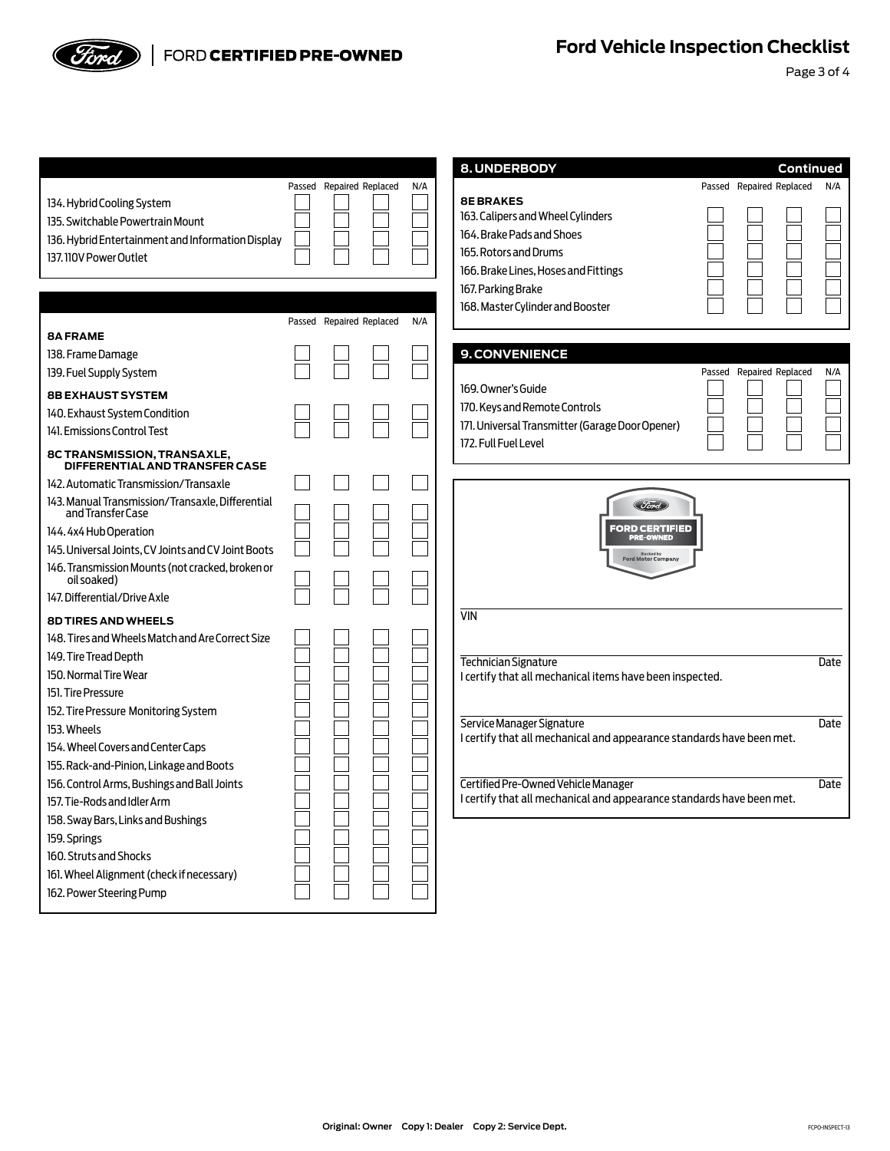

Page 3 of 4

|                                                                       |                          |     | 8. UNDERBODY                                                                                       |                          | Continued                |      |
|-----------------------------------------------------------------------|--------------------------|-----|----------------------------------------------------------------------------------------------------|--------------------------|--------------------------|------|
|                                                                       | Passed Repaired Replaced | N/A |                                                                                                    |                          | Passed Repaired Replaced | N/A  |
| 134. Hybrid Cooling System                                            |                          |     | <b>8E BRAKES</b>                                                                                   |                          |                          |      |
| 135. Switchable Powertrain Mount                                      |                          |     | 163. Calipers and Wheel Cylinders                                                                  |                          |                          |      |
| 136. Hybrid Entertainment and Information Display                     |                          |     | 164. Brake Pads and Shoes                                                                          |                          |                          |      |
| 137. 110V Power Outlet                                                |                          |     | 165. Rotors and Drums                                                                              |                          |                          |      |
|                                                                       |                          |     | 166. Brake Lines, Hoses and Fittings                                                               |                          |                          |      |
|                                                                       |                          |     | 167. Parking Brake                                                                                 |                          |                          |      |
|                                                                       | Passed Repaired Replaced | N/A | 168. Master Cylinder and Booster                                                                   |                          |                          |      |
| <b>8A FRAME</b>                                                       |                          |     |                                                                                                    |                          |                          |      |
| 138. Frame Damage                                                     |                          |     | <b>9. CONVENIENCE</b>                                                                              |                          |                          |      |
| 139. Fuel Supply System                                               |                          |     |                                                                                                    | Passed Repaired Replaced |                          | N/A  |
| <b>8B EXHAUST SYSTEM</b>                                              |                          |     | 169. Owner's Guide                                                                                 |                          |                          |      |
| 140. Exhaust System Condition                                         |                          |     | 170. Keys and Remote Controls                                                                      |                          |                          |      |
| 141. Emissions Control Test                                           |                          |     | 171. Universal Transmitter (Garage Door Opener)                                                    |                          |                          |      |
| 8C TRANSMISSION, TRANSAXLE,<br>DIFFERENTIAL AND TRANSFER CASE         |                          |     | 172. Full Fuel Level                                                                               |                          |                          |      |
| 142. Automatic Transmission/Transaxle                                 |                          |     |                                                                                                    |                          |                          |      |
| 143. Manual Transmission/Transaxle, Differential<br>and Transfer Case |                          |     | Ioro                                                                                               |                          |                          |      |
| 144.4x4 Hub Operation                                                 |                          |     | FORD CERTIFIED<br><b>PRE-OWNED</b>                                                                 |                          |                          |      |
| 145. Universal Joints, CV Joints and CV Joint Boots                   |                          |     |                                                                                                    |                          |                          |      |
| 146. Transmission Mounts (not cracked, broken or<br>oil soaked)       |                          |     | Ford Motor Company                                                                                 |                          |                          |      |
| 147. Differential/Drive Axle                                          |                          |     |                                                                                                    |                          |                          |      |
| <b>8D TIRES AND WHEELS</b>                                            |                          |     | $\overline{\text{VIN}}$                                                                            |                          |                          |      |
| 148. Tires and Wheels Match and Are Correct Size                      |                          |     |                                                                                                    |                          |                          |      |
| 149. Tire Tread Depth                                                 |                          |     | Technician Signature                                                                               |                          |                          | Date |
| 150. Normal Tire Wear                                                 |                          |     | I certify that all mechanical items have been inspected.                                           |                          |                          |      |
| 151. Tire Pressure                                                    |                          |     |                                                                                                    |                          |                          |      |
| 152. Tire Pressure Monitoring System                                  |                          |     |                                                                                                    |                          |                          |      |
| 153. Wheels                                                           |                          |     | Service Manager Signature<br>I certify that all mechanical and appearance standards have been met. |                          |                          | Date |
| 154. Wheel Covers and Center Caps                                     |                          |     |                                                                                                    |                          |                          |      |
| 155. Rack-and-Pinion, Linkage and Boots                               |                          |     |                                                                                                    |                          |                          |      |
| 156. Control Arms, Bushings and Ball Joints                           |                          |     | Certified Pre-Owned Vehicle Manager                                                                |                          |                          | Date |
| 157. Tie-Rods and Idler Arm                                           |                          |     | I certify that all mechanical and appearance standards have been met.                              |                          |                          |      |
| 158. Sway Bars, Links and Bushings                                    |                          |     |                                                                                                    |                          |                          |      |
| 159. Springs                                                          |                          |     |                                                                                                    |                          |                          |      |
| 160. Struts and Shocks                                                |                          |     |                                                                                                    |                          |                          |      |
| 161. Wheel Alignment (check if necessary)                             |                          |     |                                                                                                    |                          |                          |      |
| 162. Power Steering Pump                                              |                          |     |                                                                                                    |                          |                          |      |
|                                                                       |                          |     |                                                                                                    |                          |                          |      |